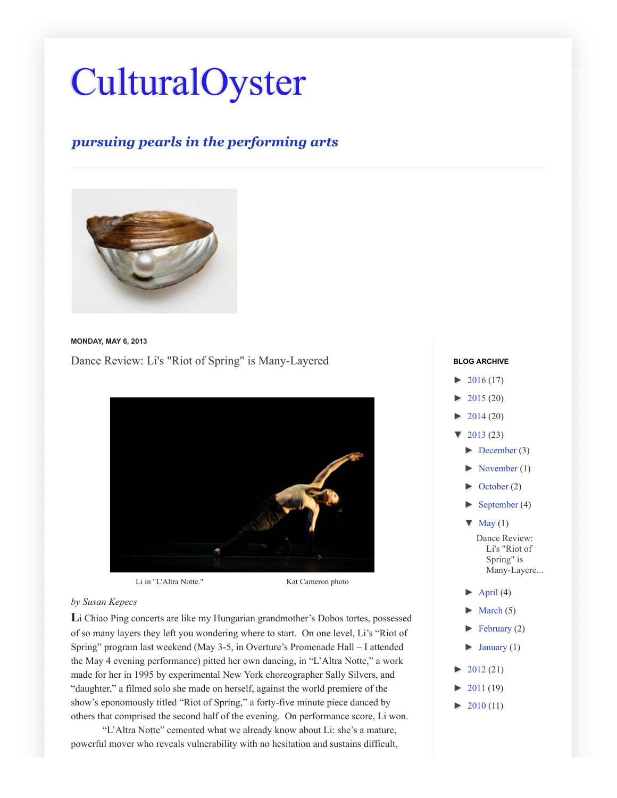## [CulturalOyster](http://culturaloysterwut.blogspot.com/)

## *pursuing pearls in the performing arts*



**MONDAY, MAY 6, 2013**

[Dance Review: Li's "Riot of Spring" is Many-Layered](http://culturaloysterwut.blogspot.com/2013/05/dance-review-lis-riot-of-spring-is-many.html)



Li in "L'Altra Notte." Kat Cameron photo

## *by Susan Kepecs*

**L**i Chiao Ping concerts are like my Hungarian grandmother's Dobos tortes, possessed of so many layers they left you wondering where to start. On one level, Li's "Riot of Spring" program last weekend (May 3-5, in Overture's Promenade Hall – I attended the May 4 evening performance) pitted her own dancing, in "L'Altra Notte," a work made for her in 1995 by experimental New York choreographer Sally Silvers, and "daughter," a filmed solo she made on herself, against the world premiere of the show's eponomously titled "Riot of Spring," a forty-five minute piece danced by others that comprised the second half of the evening. On performance score, Li won.

"L'Altra Notte" cemented what we already know about Li: she's a mature, powerful mover who reveals vulnerability with no hesitation and sustains difficult,

## $-2016(17)$ [►](javascript:void(0)) [2015 \(](http://culturaloysterwut.blogspot.com/search?updated-min=2015-01-01T00:00:00-08:00&updated-max=2016-01-01T00:00:00-08:00&max-results=20)20) [►](javascript:void(0)) [2014 \(](http://culturaloysterwut.blogspot.com/search?updated-min=2014-01-01T00:00:00-08:00&updated-max=2015-01-01T00:00:00-08:00&max-results=20)20)  $\blacktriangledown$  [2013 \(](http://culturaloysterwut.blogspot.com/search?updated-min=2013-01-01T00:00:00-08:00&updated-max=2014-01-01T00:00:00-08:00&max-results=23)23)  $\blacktriangleright$  [December](http://culturaloysterwut.blogspot.com/2013_12_01_archive.html) (3)  $\blacktriangleright$  [November \(](http://culturaloysterwut.blogspot.com/2013_11_01_archive.html)1) [October \(](http://culturaloysterwut.blogspot.com/2013_10_01_archive.html)2) [September \(](http://culturaloysterwut.blogspot.com/2013_09_01_archive.html)4)  $\blacktriangledown$  [May](http://culturaloysterwut.blogspot.com/2013_05_01_archive.html) (1) Dance Review: Li's "Riot of Spring" is [Many-Layere...](http://culturaloysterwut.blogspot.com/2013/05/dance-review-lis-riot-of-spring-is-many.html)  $\blacktriangleright$  [April \(](http://culturaloysterwut.blogspot.com/2013_04_01_archive.html)4)  $\blacktriangleright$  [March \(](http://culturaloysterwut.blogspot.com/2013_03_01_archive.html)5)  $\blacktriangleright$  [February \(](http://culturaloysterwut.blogspot.com/2013_02_01_archive.html)2)  $\blacktriangleright$  [January \(](http://culturaloysterwut.blogspot.com/2013_01_01_archive.html)1) [►](javascript:void(0)) [2012 \(](http://culturaloysterwut.blogspot.com/search?updated-min=2012-01-01T00:00:00-08:00&updated-max=2013-01-01T00:00:00-08:00&max-results=21)21) [►](javascript:void(0)) [2011 \(](http://culturaloysterwut.blogspot.com/search?updated-min=2011-01-01T00:00:00-08:00&updated-max=2012-01-01T00:00:00-08:00&max-results=19)19)  $\blacktriangleright$  [2010 \(](http://culturaloysterwut.blogspot.com/search?updated-min=2010-01-01T00:00:00-08:00&updated-max=2011-01-01T00:00:00-08:00&max-results=11)11) **BLOG ARCHIVE**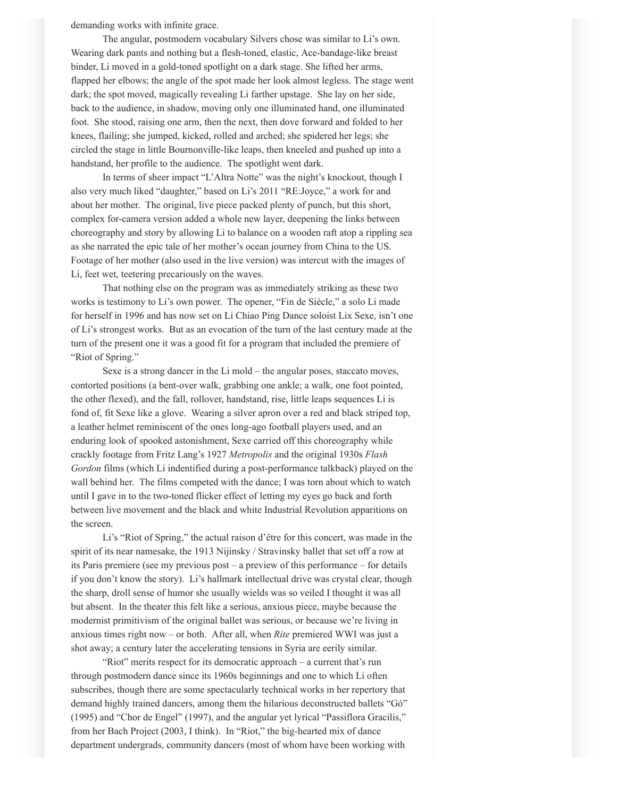demanding works with infinite grace.

The angular, postmodern vocabulary Silvers chose was similar to Li's own. Wearing dark pants and nothing but a flesh-toned, elastic, Ace-bandage-like breast binder, Li moved in a gold-toned spotlight on a dark stage. She lifted her arms, flapped her elbows; the angle of the spot made her look almost legless. The stage went dark; the spot moved, magically revealing Li farther upstage. She lay on her side, back to the audience, in shadow, moving only one illuminated hand, one illuminated foot. She stood, raising one arm, then the next, then dove forward and folded to her knees, flailing; she jumped, kicked, rolled and arched; she spidered her legs; she circled the stage in little Bournonville-like leaps, then kneeled and pushed up into a handstand, her profile to the audience. The spotlight went dark.

In terms of sheer impact "L'Altra Notte" was the night's knockout, though I also very much liked "daughter," based on Li's 2011 "RE:Joyce," a work for and about her mother. The original, live piece packed plenty of punch, but this short, complex for-camera version added a whole new layer, deepening the links between choreography and story by allowing Li to balance on a wooden raft atop a rippling sea as she narrated the epic tale of her mother's ocean journey from China to the US. Footage of her mother (also used in the live version) was intercut with the images of Li, feet wet, teetering precariously on the waves.

That nothing else on the program was as immediately striking as these two works is testimony to Li's own power. The opener, "Fin de Siècle," a solo Li made for herself in 1996 and has now set on Li Chiao Ping Dance soloist Lix Sexe, isn't one of Li's strongest works. But as an evocation of the turn of the last century made at the turn of the present one it was a good fit for a program that included the premiere of "Riot of Spring."

Sexe is a strong dancer in the Li mold – the angular poses, staccato moves, contorted positions (a bent-over walk, grabbing one ankle; a walk, one foot pointed, the other flexed), and the fall, rollover, handstand, rise, little leaps sequences Li is fond of, fit Sexe like a glove. Wearing a silver apron over a red and black striped top, a leather helmet reminiscent of the ones long-ago football players used, and an enduring look of spooked astonishment, Sexe carried off this choreography while crackly footage from Fritz Lang's 1927 *Metropolis* and the original 1930s *Flash Gordon* films (which Li indentified during a post-performance talkback) played on the wall behind her. The films competed with the dance; I was torn about which to watch until I gave in to the two-toned flicker effect of letting my eyes go back and forth between live movement and the black and white Industrial Revolution apparitions on the screen.

Li's "Riot of Spring," the actual raison d'être for this concert, was made in the spirit of its near namesake, the 1913 Nijinsky / Stravinsky ballet that set off a row at its Paris premiere (see my previous post – a preview of this performance – for details if you don't know the story). Li's hallmark intellectual drive was crystal clear, though the sharp, droll sense of humor she usually wields was so veiled I thought it was all but absent. In the theater this felt like a serious, anxious piece, maybe because the modernist primitivism of the original ballet was serious, or because we're living in anxious times right now – or both. After all, when *Rite* premiered WWI was just a shot away; a century later the accelerating tensions in Syria are eerily similar.

"Riot" merits respect for its democratic approach – a current that's run through postmodern dance since its 1960s beginnings and one to which Li often subscribes, though there are some spectacularly technical works in her repertory that demand highly trained dancers, among them the hilarious deconstructed ballets "Gó" (1995) and "Chor de Engel" (1997), and the angular yet lyrical "Passiflora Gracilis," from her Bach Project (2003, I think). In "Riot," the big-hearted mix of dance department undergrads, community dancers (most of whom have been working with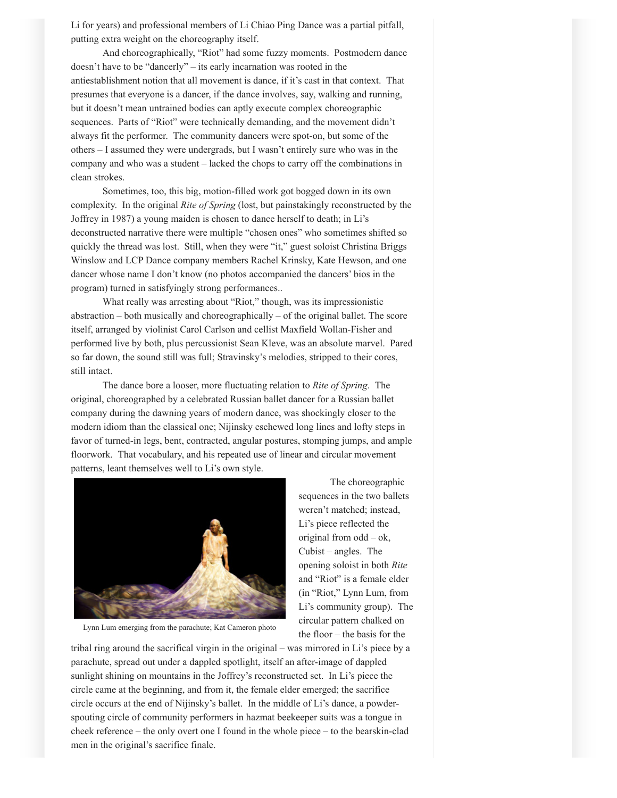Li for years) and professional members of Li Chiao Ping Dance was a partial pitfall, putting extra weight on the choreography itself.

And choreographically, "Riot" had some fuzzy moments. Postmodern dance doesn't have to be "dancerly" – its early incarnation was rooted in the antiestablishment notion that all movement is dance, if it's cast in that context. That presumes that everyone is a dancer, if the dance involves, say, walking and running, but it doesn't mean untrained bodies can aptly execute complex choreographic sequences. Parts of "Riot" were technically demanding, and the movement didn't always fit the performer. The community dancers were spot-on, but some of the others – I assumed they were undergrads, but I wasn't entirely sure who was in the company and who was a student – lacked the chops to carry off the combinations in clean strokes.

Sometimes, too, this big, motion-filled work got bogged down in its own complexity. In the original *Rite of Spring* (lost, but painstakingly reconstructed by the Joffrey in 1987) a young maiden is chosen to dance herself to death; in Li's deconstructed narrative there were multiple "chosen ones" who sometimes shifted so quickly the thread was lost. Still, when they were "it," guest soloist Christina Briggs Winslow and LCP Dance company members Rachel Krinsky, Kate Hewson, and one dancer whose name I don't know (no photos accompanied the dancers' bios in the program) turned in satisfyingly strong performances..

What really was arresting about "Riot," though, was its impressionistic abstraction – both musically and choreographically – of the original ballet. The score itself, arranged by violinist Carol Carlson and cellist Maxfield Wollan-Fisher and performed live by both, plus percussionist Sean Kleve, was an absolute marvel. Pared so far down, the sound still was full; Stravinsky's melodies, stripped to their cores, still intact.

The dance bore a looser, more fluctuating relation to *Rite of Spring*. The original, choreographed by a celebrated Russian ballet dancer for a Russian ballet company during the dawning years of modern dance, was shockingly closer to the modern idiom than the classical one; Nijinsky eschewed long lines and lofty steps in favor of turned-in legs, bent, contracted, angular postures, stomping jumps, and ample floorwork. That vocabulary, and his repeated use of linear and circular movement patterns, leant themselves well to Li's own style.



Lynn Lum emerging from the parachute; Kat Cameron photo

The choreographic sequences in the two ballets weren't matched; instead, Li's piece reflected the original from odd – ok, Cubist – angles. The opening soloist in both *Rite* and "Riot" is a female elder (in "Riot," Lynn Lum, from Li's community group). The circular pattern chalked on the floor – the basis for the

tribal ring around the sacrifical virgin in the original – was mirrored in Li's piece by a parachute, spread out under a dappled spotlight, itself an after-image of dappled sunlight shining on mountains in the Joffrey's reconstructed set. In Li's piece the circle came at the beginning, and from it, the female elder emerged; the sacrifice circle occurs at the end of Nijinsky's ballet. In the middle of Li's dance, a powderspouting circle of community performers in hazmat beekeeper suits was a tongue in cheek reference – the only overt one I found in the whole piece – to the bearskin-clad men in the original's sacrifice finale.